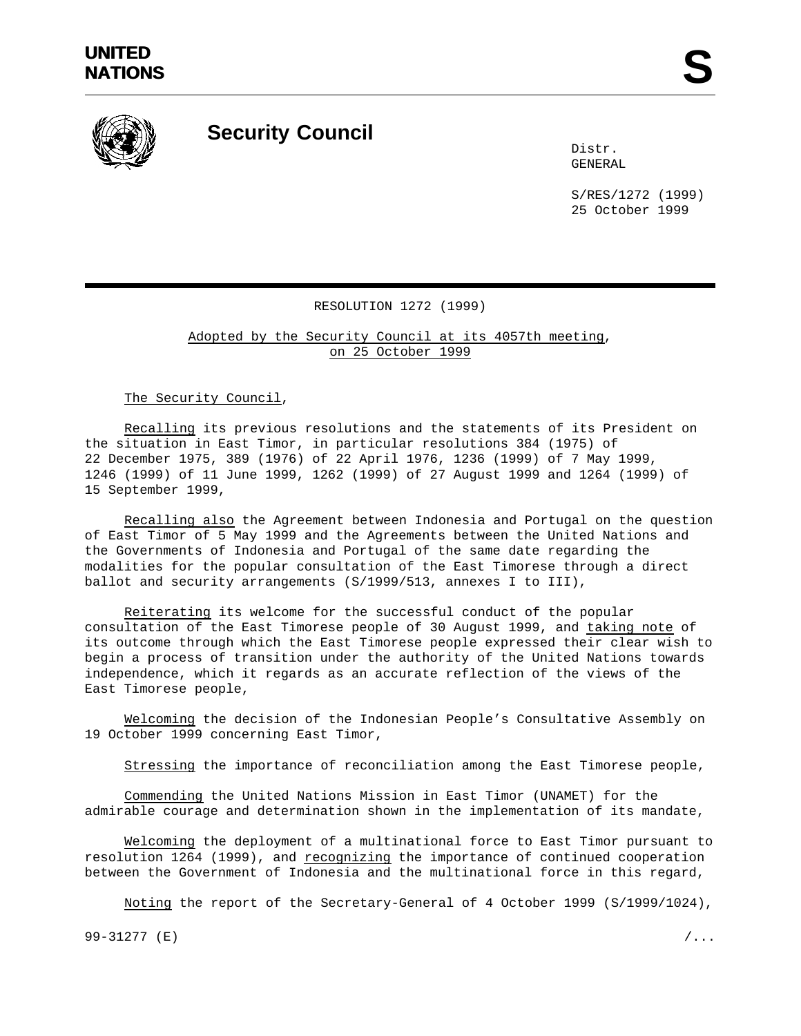

## **Security Council**

Distr. GENERAL

S/RES/1272 (1999) 25 October 1999

## RESOLUTION 1272 (1999)

Adopted by the Security Council at its 4057th meeting, on 25 October 1999

The Security Council,

Recalling its previous resolutions and the statements of its President on the situation in East Timor, in particular resolutions 384 (1975) of 22 December 1975, 389 (1976) of 22 April 1976, 1236 (1999) of 7 May 1999, 1246 (1999) of 11 June 1999, 1262 (1999) of 27 August 1999 and 1264 (1999) of 15 September 1999,

Recalling also the Agreement between Indonesia and Portugal on the question of East Timor of 5 May 1999 and the Agreements between the United Nations and the Governments of Indonesia and Portugal of the same date regarding the modalities for the popular consultation of the East Timorese through a direct ballot and security arrangements (S/1999/513, annexes I to III),

Reiterating its welcome for the successful conduct of the popular consultation of the East Timorese people of 30 August 1999, and taking note of its outcome through which the East Timorese people expressed their clear wish to begin a process of transition under the authority of the United Nations towards independence, which it regards as an accurate reflection of the views of the East Timorese people,

Welcoming the decision of the Indonesian People's Consultative Assembly on 19 October 1999 concerning East Timor,

Stressing the importance of reconciliation among the East Timorese people,

Commending the United Nations Mission in East Timor (UNAMET) for the admirable courage and determination shown in the implementation of its mandate,

Welcoming the deployment of a multinational force to East Timor pursuant to resolution 1264 (1999), and recognizing the importance of continued cooperation between the Government of Indonesia and the multinational force in this regard,

Noting the report of the Secretary-General of 4 October 1999 (S/1999/1024),

99-31277 (E)  $/$ ...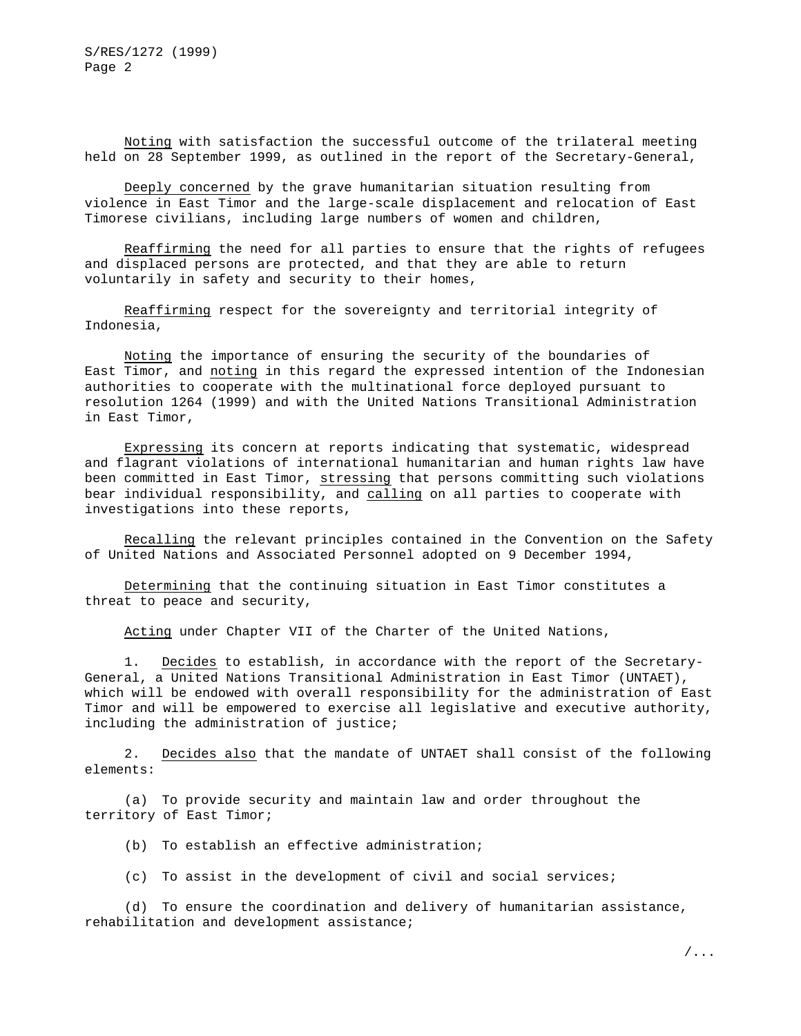Noting with satisfaction the successful outcome of the trilateral meeting held on 28 September 1999, as outlined in the report of the Secretary-General,

Deeply concerned by the grave humanitarian situation resulting from violence in East Timor and the large-scale displacement and relocation of East Timorese civilians, including large numbers of women and children,

Reaffirming the need for all parties to ensure that the rights of refugees and displaced persons are protected, and that they are able to return voluntarily in safety and security to their homes,

Reaffirming respect for the sovereignty and territorial integrity of Indonesia,

Noting the importance of ensuring the security of the boundaries of East Timor, and noting in this regard the expressed intention of the Indonesian authorities to cooperate with the multinational force deployed pursuant to resolution 1264 (1999) and with the United Nations Transitional Administration in East Timor,

Expressing its concern at reports indicating that systematic, widespread and flagrant violations of international humanitarian and human rights law have been committed in East Timor, stressing that persons committing such violations bear individual responsibility, and calling on all parties to cooperate with investigations into these reports,

Recalling the relevant principles contained in the Convention on the Safety of United Nations and Associated Personnel adopted on 9 December 1994,

Determining that the continuing situation in East Timor constitutes a threat to peace and security,

Acting under Chapter VII of the Charter of the United Nations,

Decides to establish, in accordance with the report of the Secretary-General, a United Nations Transitional Administration in East Timor (UNTAET), which will be endowed with overall responsibility for the administration of East Timor and will be empowered to exercise all legislative and executive authority, including the administration of justice;

2. Decides also that the mandate of UNTAET shall consist of the following elements:

(a) To provide security and maintain law and order throughout the territory of East Timor;

(b) To establish an effective administration;

(c) To assist in the development of civil and social services;

(d) To ensure the coordination and delivery of humanitarian assistance, rehabilitation and development assistance;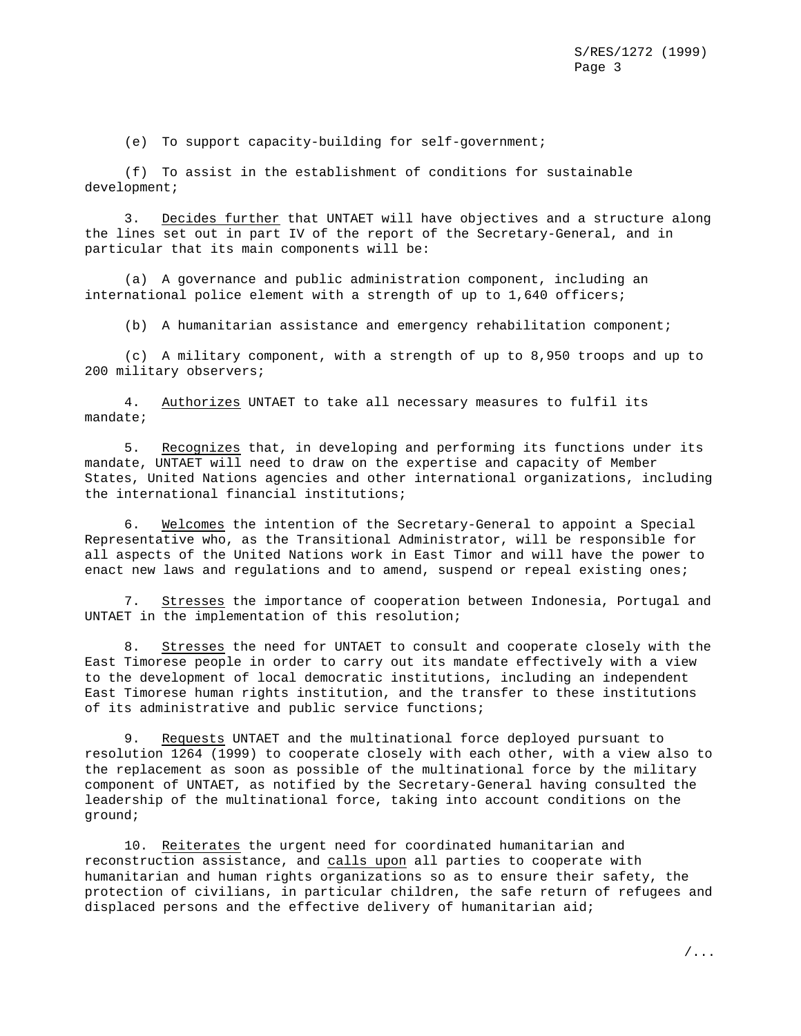(e) To support capacity-building for self-government;

(f) To assist in the establishment of conditions for sustainable development;

3. Decides further that UNTAET will have objectives and a structure along the lines set out in part IV of the report of the Secretary-General, and in particular that its main components will be:

(a) A governance and public administration component, including an international police element with a strength of up to 1,640 officers;

(b) A humanitarian assistance and emergency rehabilitation component;

(c) A military component, with a strength of up to 8,950 troops and up to 200 military observers;

4. Authorizes UNTAET to take all necessary measures to fulfil its mandate;

5. Recognizes that, in developing and performing its functions under its mandate, UNTAET will need to draw on the expertise and capacity of Member States, United Nations agencies and other international organizations, including the international financial institutions;

6. Welcomes the intention of the Secretary-General to appoint a Special Representative who, as the Transitional Administrator, will be responsible for all aspects of the United Nations work in East Timor and will have the power to enact new laws and regulations and to amend, suspend or repeal existing ones;

7. Stresses the importance of cooperation between Indonesia, Portugal and UNTAET in the implementation of this resolution;

8. Stresses the need for UNTAET to consult and cooperate closely with the East Timorese people in order to carry out its mandate effectively with a view to the development of local democratic institutions, including an independent East Timorese human rights institution, and the transfer to these institutions of its administrative and public service functions;

9. Requests UNTAET and the multinational force deployed pursuant to resolution 1264 (1999) to cooperate closely with each other, with a view also to the replacement as soon as possible of the multinational force by the military component of UNTAET, as notified by the Secretary-General having consulted the leadership of the multinational force, taking into account conditions on the ground;

10. Reiterates the urgent need for coordinated humanitarian and reconstruction assistance, and calls upon all parties to cooperate with humanitarian and human rights organizations so as to ensure their safety, the protection of civilians, in particular children, the safe return of refugees and displaced persons and the effective delivery of humanitarian aid;